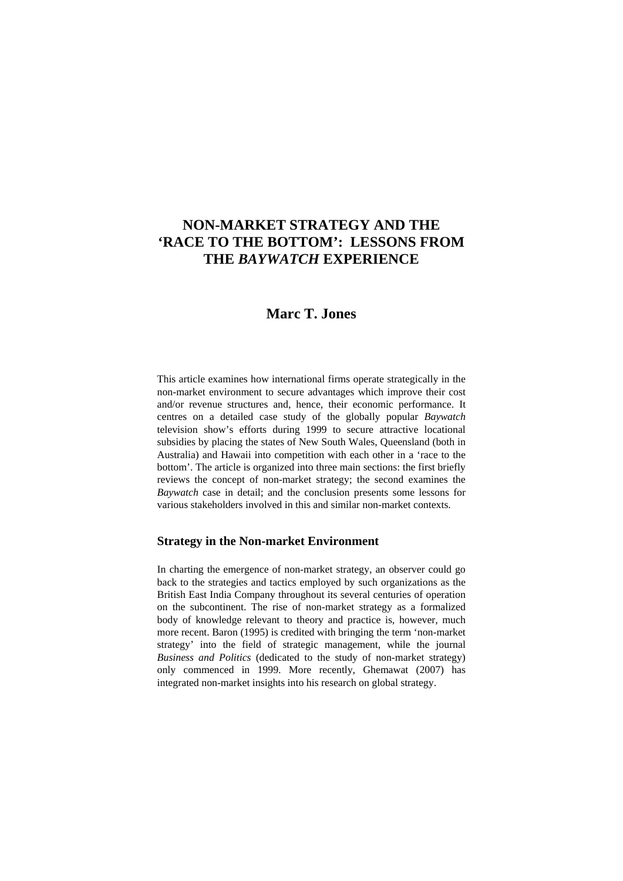# **NON-MARKET STRATEGY AND THE 'RACE TO THE BOTTOM': LESSONS FROM THE** *BAYWATCH* **EXPERIENCE**

# **Marc T. Jones**

This article examines how international firms operate strategically in the non-market environment to secure advantages which improve their cost and/or revenue structures and, hence, their economic performance. It centres on a detailed case study of the globally popular *Baywatch* television show's efforts during 1999 to secure attractive locational subsidies by placing the states of New South Wales, Queensland (both in Australia) and Hawaii into competition with each other in a 'race to the bottom'. The article is organized into three main sections: the first briefly reviews the concept of non-market strategy; the second examines the *Baywatch* case in detail; and the conclusion presents some lessons for various stakeholders involved in this and similar non-market contexts.

### **Strategy in the Non-market Environment**

In charting the emergence of non-market strategy, an observer could go back to the strategies and tactics employed by such organizations as the British East India Company throughout its several centuries of operation on the subcontinent. The rise of non-market strategy as a formalized body of knowledge relevant to theory and practice is, however, much more recent. Baron (1995) is credited with bringing the term 'non-market strategy' into the field of strategic management, while the journal *Business and Politics* (dedicated to the study of non-market strategy) only commenced in 1999. More recently, Ghemawat (2007) has integrated non-market insights into his research on global strategy.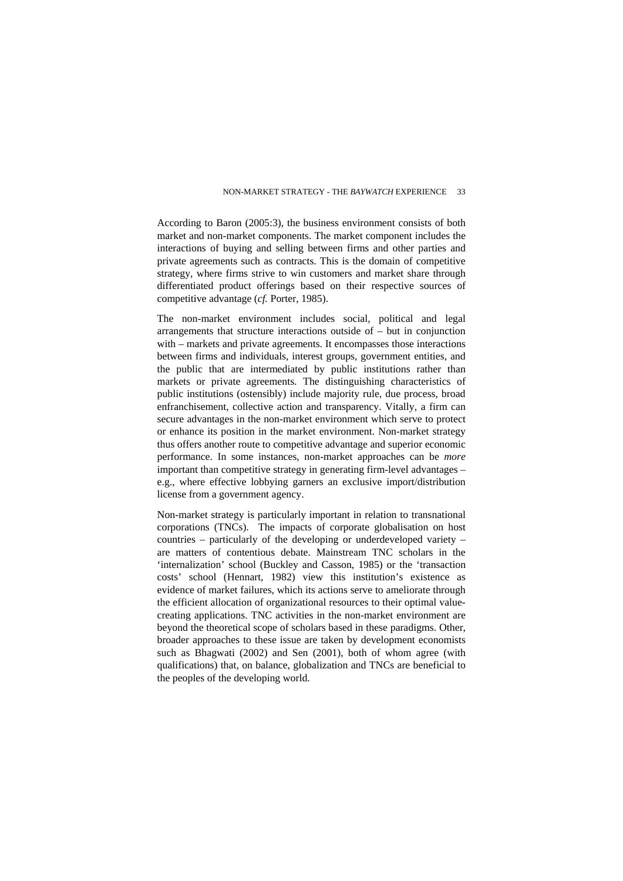According to Baron (2005:3), the business environment consists of both market and non-market components. The market component includes the interactions of buying and selling between firms and other parties and private agreements such as contracts. This is the domain of competitive strategy, where firms strive to win customers and market share through differentiated product offerings based on their respective sources of competitive advantage (*cf.* Porter, 1985).

The non-market environment includes social, political and legal arrangements that structure interactions outside of – but in conjunction with – markets and private agreements. It encompasses those interactions between firms and individuals, interest groups, government entities, and the public that are intermediated by public institutions rather than markets or private agreements. The distinguishing characteristics of public institutions (ostensibly) include majority rule, due process, broad enfranchisement, collective action and transparency. Vitally, a firm can secure advantages in the non-market environment which serve to protect or enhance its position in the market environment. Non-market strategy thus offers another route to competitive advantage and superior economic performance. In some instances, non-market approaches can be *more* important than competitive strategy in generating firm-level advantages – e.g., where effective lobbying garners an exclusive import/distribution license from a government agency.

Non-market strategy is particularly important in relation to transnational corporations (TNCs). The impacts of corporate globalisation on host countries – particularly of the developing or underdeveloped variety – are matters of contentious debate. Mainstream TNC scholars in the 'internalization' school (Buckley and Casson, 1985) or the 'transaction costs' school (Hennart, 1982) view this institution's existence as evidence of market failures, which its actions serve to ameliorate through the efficient allocation of organizational resources to their optimal valuecreating applications. TNC activities in the non-market environment are beyond the theoretical scope of scholars based in these paradigms. Other, broader approaches to these issue are taken by development economists such as Bhagwati (2002) and Sen (2001), both of whom agree (with qualifications) that, on balance, globalization and TNCs are beneficial to the peoples of the developing world.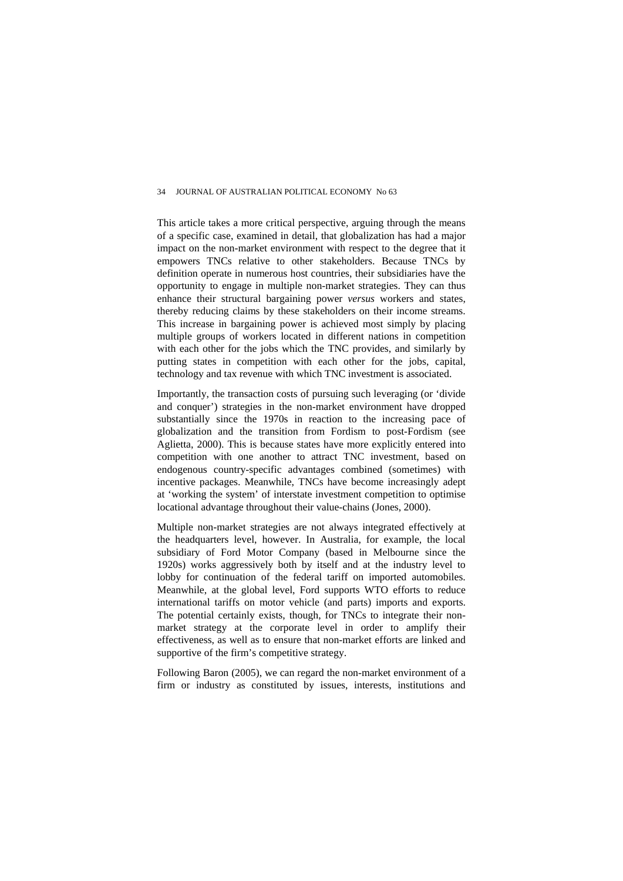This article takes a more critical perspective, arguing through the means of a specific case, examined in detail, that globalization has had a major impact on the non-market environment with respect to the degree that it empowers TNCs relative to other stakeholders. Because TNCs by definition operate in numerous host countries, their subsidiaries have the opportunity to engage in multiple non-market strategies. They can thus enhance their structural bargaining power *versus* workers and states, thereby reducing claims by these stakeholders on their income streams. This increase in bargaining power is achieved most simply by placing multiple groups of workers located in different nations in competition with each other for the jobs which the TNC provides, and similarly by putting states in competition with each other for the jobs, capital, technology and tax revenue with which TNC investment is associated.

Importantly, the transaction costs of pursuing such leveraging (or 'divide and conquer') strategies in the non-market environment have dropped substantially since the 1970s in reaction to the increasing pace of globalization and the transition from Fordism to post-Fordism (see Aglietta, 2000). This is because states have more explicitly entered into competition with one another to attract TNC investment, based on endogenous country-specific advantages combined (sometimes) with incentive packages. Meanwhile, TNCs have become increasingly adept at 'working the system' of interstate investment competition to optimise locational advantage throughout their value-chains (Jones, 2000).

Multiple non-market strategies are not always integrated effectively at the headquarters level, however. In Australia, for example, the local subsidiary of Ford Motor Company (based in Melbourne since the 1920s) works aggressively both by itself and at the industry level to lobby for continuation of the federal tariff on imported automobiles. Meanwhile, at the global level, Ford supports WTO efforts to reduce international tariffs on motor vehicle (and parts) imports and exports. The potential certainly exists, though, for TNCs to integrate their nonmarket strategy at the corporate level in order to amplify their effectiveness, as well as to ensure that non-market efforts are linked and supportive of the firm's competitive strategy.

Following Baron (2005), we can regard the non-market environment of a firm or industry as constituted by issues, interests, institutions and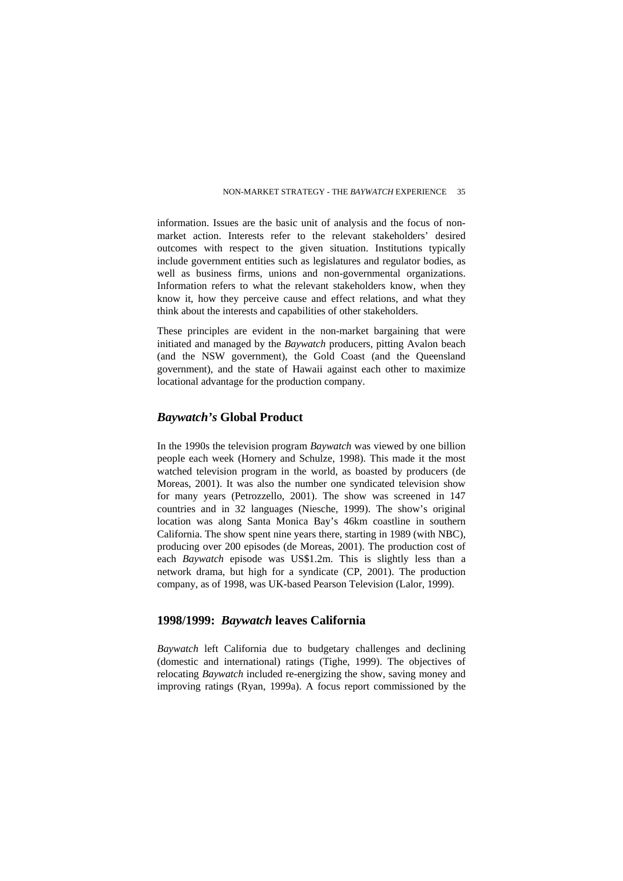information. Issues are the basic unit of analysis and the focus of nonmarket action. Interests refer to the relevant stakeholders' desired outcomes with respect to the given situation. Institutions typically include government entities such as legislatures and regulator bodies, as well as business firms, unions and non-governmental organizations. Information refers to what the relevant stakeholders know, when they know it, how they perceive cause and effect relations, and what they think about the interests and capabilities of other stakeholders.

These principles are evident in the non-market bargaining that were initiated and managed by the *Baywatch* producers, pitting Avalon beach (and the NSW government), the Gold Coast (and the Queensland government), and the state of Hawaii against each other to maximize locational advantage for the production company.

## *Baywatch's* **Global Product**

In the 1990s the television program *Baywatch* was viewed by one billion people each week (Hornery and Schulze, 1998). This made it the most watched television program in the world, as boasted by producers (de Moreas, 2001). It was also the number one syndicated television show for many years (Petrozzello, 2001). The show was screened in 147 countries and in 32 languages (Niesche, 1999). The show's original location was along Santa Monica Bay's 46km coastline in southern California. The show spent nine years there, starting in 1989 (with NBC), producing over 200 episodes (de Moreas, 2001). The production cost of each *Baywatch* episode was US\$1.2m. This is slightly less than a network drama, but high for a syndicate (CP, 2001). The production company, as of 1998, was UK-based Pearson Television (Lalor, 1999).

## **1998/1999:** *Baywatch* **leaves California**

*Baywatch* left California due to budgetary challenges and declining (domestic and international) ratings (Tighe, 1999). The objectives of relocating *Baywatch* included re-energizing the show, saving money and improving ratings (Ryan, 1999a). A focus report commissioned by the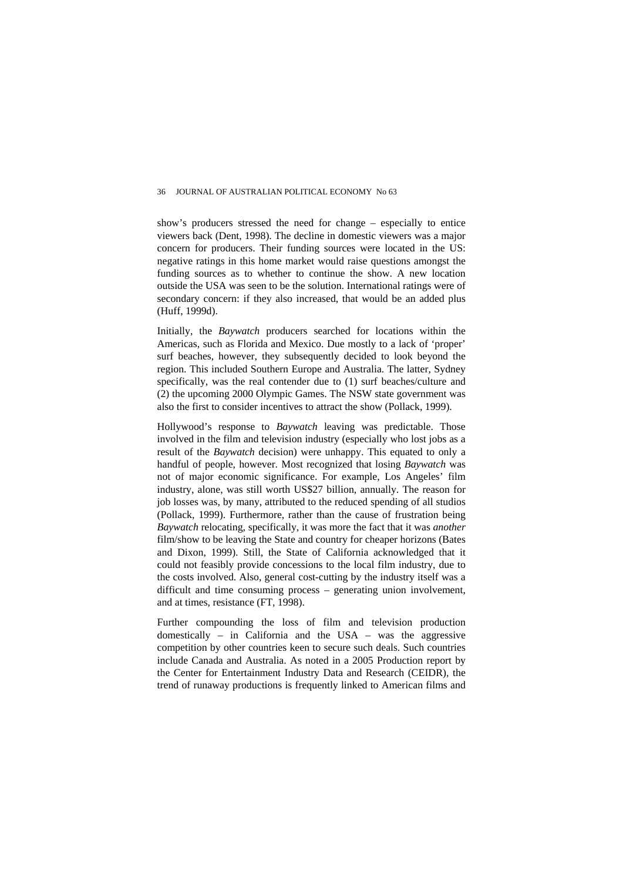show's producers stressed the need for change – especially to entice viewers back (Dent, 1998). The decline in domestic viewers was a major concern for producers. Their funding sources were located in the US: negative ratings in this home market would raise questions amongst the funding sources as to whether to continue the show. A new location outside the USA was seen to be the solution. International ratings were of secondary concern: if they also increased, that would be an added plus (Huff, 1999d).

Initially, the *Baywatch* producers searched for locations within the Americas, such as Florida and Mexico. Due mostly to a lack of 'proper' surf beaches, however, they subsequently decided to look beyond the region. This included Southern Europe and Australia. The latter, Sydney specifically, was the real contender due to (1) surf beaches/culture and (2) the upcoming 2000 Olympic Games. The NSW state government was also the first to consider incentives to attract the show (Pollack, 1999).

Hollywood's response to *Baywatch* leaving was predictable. Those involved in the film and television industry (especially who lost jobs as a result of the *Baywatch* decision) were unhappy. This equated to only a handful of people, however. Most recognized that losing *Baywatch* was not of major economic significance. For example, Los Angeles' film industry, alone, was still worth US\$27 billion, annually. The reason for job losses was, by many, attributed to the reduced spending of all studios (Pollack, 1999). Furthermore, rather than the cause of frustration being *Baywatch* relocating, specifically, it was more the fact that it was *another* film/show to be leaving the State and country for cheaper horizons (Bates and Dixon, 1999). Still, the State of California acknowledged that it could not feasibly provide concessions to the local film industry, due to the costs involved. Also, general cost-cutting by the industry itself was a difficult and time consuming process – generating union involvement, and at times, resistance (FT, 1998).

Further compounding the loss of film and television production domestically – in California and the USA – was the aggressive competition by other countries keen to secure such deals. Such countries include Canada and Australia. As noted in a 2005 Production report by the Center for Entertainment Industry Data and Research (CEIDR), the trend of runaway productions is frequently linked to American films and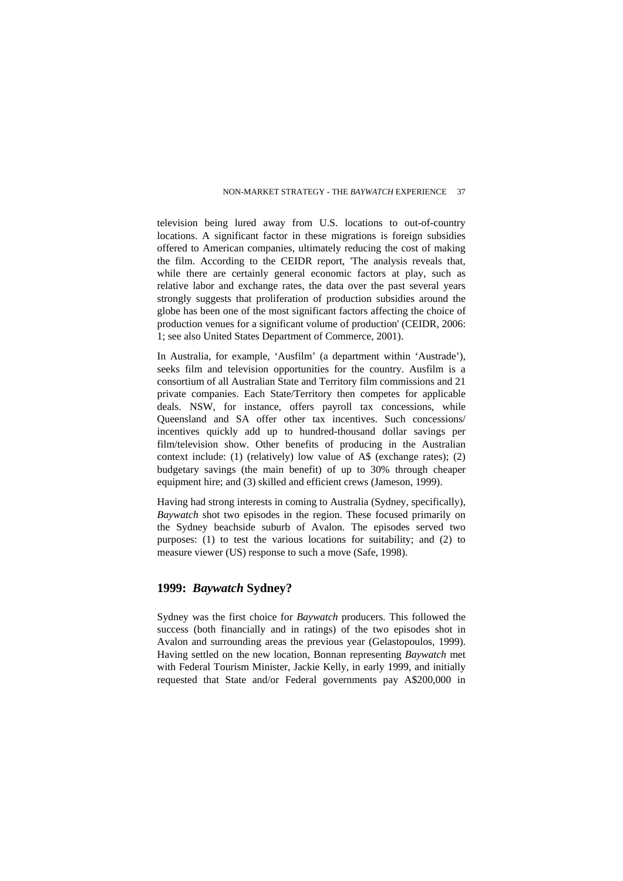television being lured away from U.S. locations to out-of-country locations. A significant factor in these migrations is foreign subsidies offered to American companies, ultimately reducing the cost of making the film. According to the CEIDR report, 'The analysis reveals that, while there are certainly general economic factors at play, such as relative labor and exchange rates, the data over the past several years strongly suggests that proliferation of production subsidies around the globe has been one of the most significant factors affecting the choice of production venues for a significant volume of production' (CEIDR, 2006: 1; see also United States Department of Commerce, 2001).

In Australia, for example, 'Ausfilm' (a department within 'Austrade'), seeks film and television opportunities for the country. Ausfilm is a consortium of all Australian State and Territory film commissions and 21 private companies. Each State/Territory then competes for applicable deals. NSW, for instance, offers payroll tax concessions, while Queensland and SA offer other tax incentives. Such concessions/ incentives quickly add up to hundred-thousand dollar savings per film/television show. Other benefits of producing in the Australian context include: (1) (relatively) low value of A\$ (exchange rates); (2) budgetary savings (the main benefit) of up to 30% through cheaper equipment hire; and (3) skilled and efficient crews (Jameson, 1999).

Having had strong interests in coming to Australia (Sydney, specifically), *Baywatch* shot two episodes in the region. These focused primarily on the Sydney beachside suburb of Avalon. The episodes served two purposes: (1) to test the various locations for suitability; and (2) to measure viewer (US) response to such a move (Safe, 1998).

## **1999:** *Baywatch* **Sydney?**

Sydney was the first choice for *Baywatch* producers. This followed the success (both financially and in ratings) of the two episodes shot in Avalon and surrounding areas the previous year (Gelastopoulos, 1999). Having settled on the new location, Bonnan representing *Baywatch* met with Federal Tourism Minister, Jackie Kelly, in early 1999, and initially requested that State and/or Federal governments pay A\$200,000 in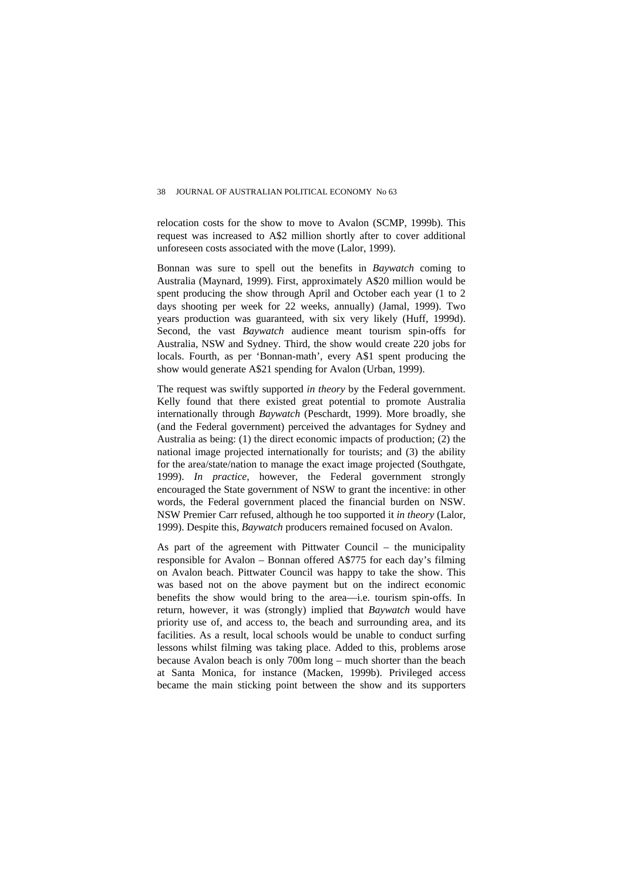relocation costs for the show to move to Avalon (SCMP, 1999b). This request was increased to A\$2 million shortly after to cover additional unforeseen costs associated with the move (Lalor, 1999).

Bonnan was sure to spell out the benefits in *Baywatch* coming to Australia (Maynard, 1999). First, approximately A\$20 million would be spent producing the show through April and October each year (1 to 2 days shooting per week for 22 weeks, annually) (Jamal, 1999). Two years production was guaranteed, with six very likely (Huff, 1999d). Second, the vast *Baywatch* audience meant tourism spin-offs for Australia, NSW and Sydney. Third, the show would create 220 jobs for locals. Fourth, as per 'Bonnan-math', every A\$1 spent producing the show would generate A\$21 spending for Avalon (Urban, 1999).

The request was swiftly supported *in theory* by the Federal government. Kelly found that there existed great potential to promote Australia internationally through *Baywatch* (Peschardt, 1999). More broadly, she (and the Federal government) perceived the advantages for Sydney and Australia as being: (1) the direct economic impacts of production; (2) the national image projected internationally for tourists; and (3) the ability for the area/state/nation to manage the exact image projected (Southgate, 1999). *In practice*, however, the Federal government strongly encouraged the State government of NSW to grant the incentive: in other words, the Federal government placed the financial burden on NSW. NSW Premier Carr refused, although he too supported it *in theory* (Lalor, 1999). Despite this, *Baywatch* producers remained focused on Avalon.

As part of the agreement with Pittwater Council – the municipality responsible for Avalon – Bonnan offered A\$775 for each day's filming on Avalon beach. Pittwater Council was happy to take the show. This was based not on the above payment but on the indirect economic benefits the show would bring to the area—i.e. tourism spin-offs. In return, however, it was (strongly) implied that *Baywatch* would have priority use of, and access to, the beach and surrounding area, and its facilities. As a result, local schools would be unable to conduct surfing lessons whilst filming was taking place. Added to this, problems arose because Avalon beach is only 700m long – much shorter than the beach at Santa Monica, for instance (Macken, 1999b). Privileged access became the main sticking point between the show and its supporters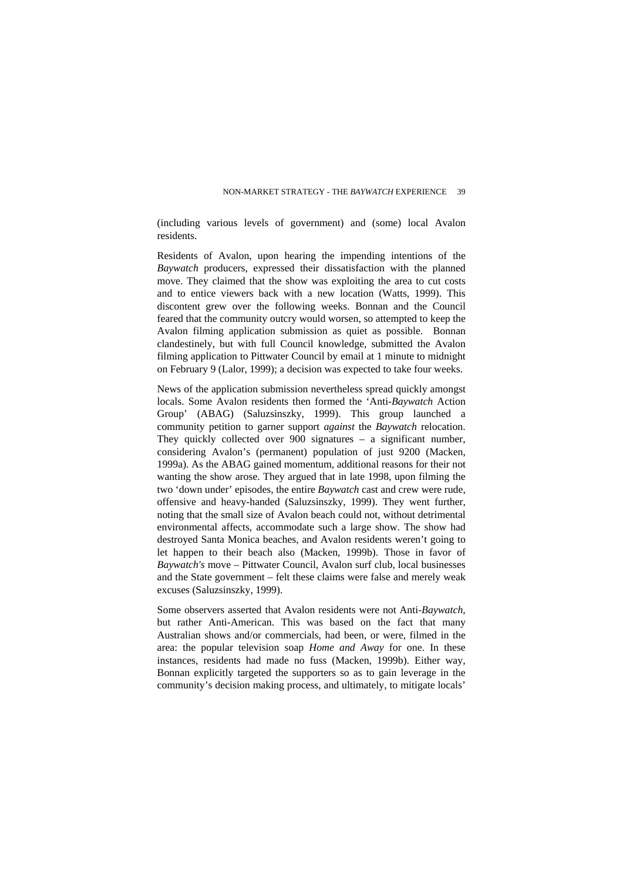(including various levels of government) and (some) local Avalon residents.

Residents of Avalon, upon hearing the impending intentions of the *Baywatch* producers, expressed their dissatisfaction with the planned move. They claimed that the show was exploiting the area to cut costs and to entice viewers back with a new location (Watts, 1999). This discontent grew over the following weeks. Bonnan and the Council feared that the community outcry would worsen, so attempted to keep the Avalon filming application submission as quiet as possible. Bonnan clandestinely, but with full Council knowledge, submitted the Avalon filming application to Pittwater Council by email at 1 minute to midnight on February 9 (Lalor, 1999); a decision was expected to take four weeks.

News of the application submission nevertheless spread quickly amongst locals. Some Avalon residents then formed the 'Anti-*Baywatch* Action Group' (ABAG) (Saluzsinszky, 1999). This group launched a community petition to garner support *against* the *Baywatch* relocation. They quickly collected over 900 signatures – a significant number, considering Avalon's (permanent) population of just 9200 (Macken, 1999a). As the ABAG gained momentum, additional reasons for their not wanting the show arose. They argued that in late 1998, upon filming the two 'down under' episodes, the entire *Baywatch* cast and crew were rude, offensive and heavy-handed (Saluzsinszky, 1999). They went further, noting that the small size of Avalon beach could not, without detrimental environmental affects, accommodate such a large show. The show had destroyed Santa Monica beaches, and Avalon residents weren't going to let happen to their beach also (Macken, 1999b). Those in favor of *Baywatch's* move – Pittwater Council, Avalon surf club, local businesses and the State government – felt these claims were false and merely weak excuses (Saluzsinszky, 1999).

Some observers asserted that Avalon residents were not Anti-*Baywatch*, but rather Anti-American. This was based on the fact that many Australian shows and/or commercials, had been, or were, filmed in the area: the popular television soap *Home and Away* for one. In these instances, residents had made no fuss (Macken, 1999b). Either way, Bonnan explicitly targeted the supporters so as to gain leverage in the community's decision making process, and ultimately, to mitigate locals'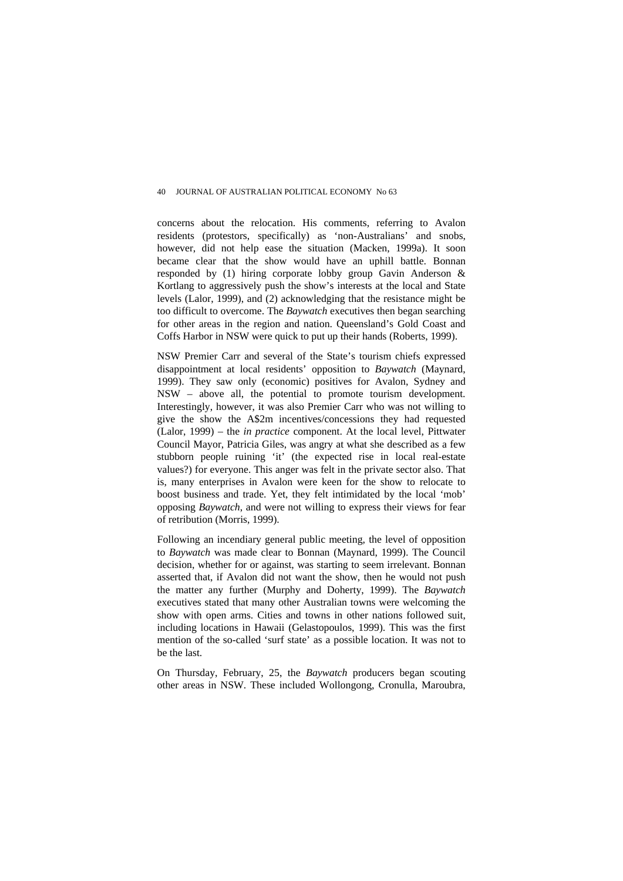concerns about the relocation. His comments, referring to Avalon residents (protestors, specifically) as 'non-Australians' and snobs, however, did not help ease the situation (Macken, 1999a). It soon became clear that the show would have an uphill battle. Bonnan responded by (1) hiring corporate lobby group Gavin Anderson & Kortlang to aggressively push the show's interests at the local and State levels (Lalor, 1999), and (2) acknowledging that the resistance might be too difficult to overcome. The *Baywatch* executives then began searching for other areas in the region and nation. Queensland's Gold Coast and Coffs Harbor in NSW were quick to put up their hands (Roberts, 1999).

NSW Premier Carr and several of the State's tourism chiefs expressed disappointment at local residents' opposition to *Baywatch* (Maynard, 1999). They saw only (economic) positives for Avalon, Sydney and NSW – above all, the potential to promote tourism development. Interestingly, however, it was also Premier Carr who was not willing to give the show the A\$2m incentives/concessions they had requested (Lalor, 1999) – the *in practice* component. At the local level, Pittwater Council Mayor, Patricia Giles, was angry at what she described as a few stubborn people ruining 'it' (the expected rise in local real-estate values?) for everyone. This anger was felt in the private sector also. That is, many enterprises in Avalon were keen for the show to relocate to boost business and trade. Yet, they felt intimidated by the local 'mob' opposing *Baywatch*, and were not willing to express their views for fear of retribution (Morris, 1999).

Following an incendiary general public meeting, the level of opposition to *Baywatch* was made clear to Bonnan (Maynard, 1999). The Council decision, whether for or against, was starting to seem irrelevant. Bonnan asserted that, if Avalon did not want the show, then he would not push the matter any further (Murphy and Doherty, 1999). The *Baywatch* executives stated that many other Australian towns were welcoming the show with open arms. Cities and towns in other nations followed suit, including locations in Hawaii (Gelastopoulos, 1999). This was the first mention of the so-called 'surf state' as a possible location. It was not to be the last.

On Thursday, February, 25, the *Baywatch* producers began scouting other areas in NSW. These included Wollongong, Cronulla, Maroubra,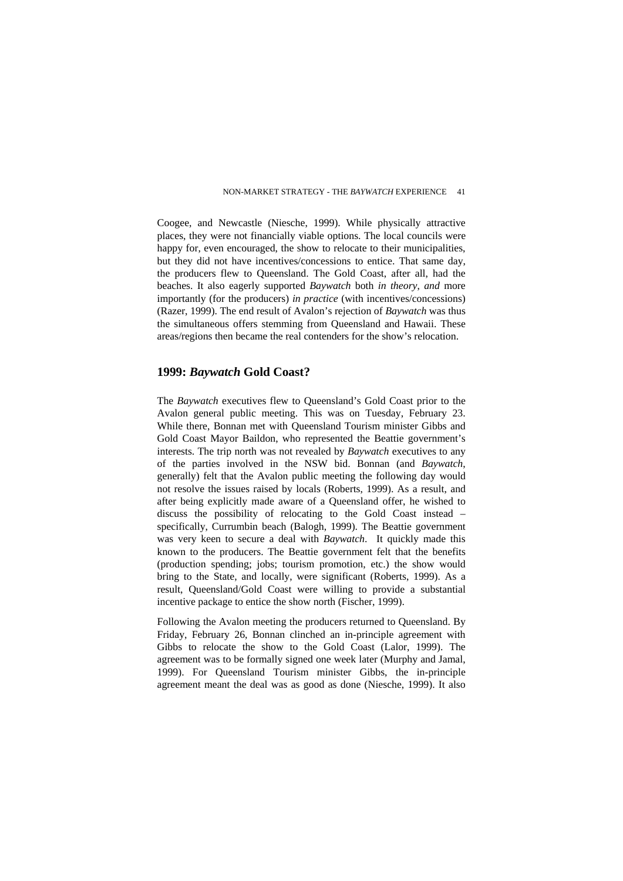Coogee, and Newcastle (Niesche, 1999). While physically attractive places, they were not financially viable options. The local councils were happy for, even encouraged, the show to relocate to their municipalities. but they did not have incentives/concessions to entice. That same day, the producers flew to Queensland. The Gold Coast, after all, had the beaches. It also eagerly supported *Baywatch* both *in theory*, *and* more importantly (for the producers) *in practice* (with incentives/concessions) (Razer, 1999). The end result of Avalon's rejection of *Baywatch* was thus the simultaneous offers stemming from Queensland and Hawaii. These areas/regions then became the real contenders for the show's relocation.

#### **1999:** *Baywatch* **Gold Coast?**

The *Baywatch* executives flew to Queensland's Gold Coast prior to the Avalon general public meeting. This was on Tuesday, February 23. While there, Bonnan met with Queensland Tourism minister Gibbs and Gold Coast Mayor Baildon, who represented the Beattie government's interests. The trip north was not revealed by *Baywatch* executives to any of the parties involved in the NSW bid. Bonnan (and *Baywatch*, generally) felt that the Avalon public meeting the following day would not resolve the issues raised by locals (Roberts, 1999). As a result, and after being explicitly made aware of a Queensland offer, he wished to discuss the possibility of relocating to the Gold Coast instead – specifically, Currumbin beach (Balogh, 1999). The Beattie government was very keen to secure a deal with *Baywatch*. It quickly made this known to the producers. The Beattie government felt that the benefits (production spending; jobs; tourism promotion, etc.) the show would bring to the State, and locally, were significant (Roberts, 1999). As a result, Queensland/Gold Coast were willing to provide a substantial incentive package to entice the show north (Fischer, 1999).

Following the Avalon meeting the producers returned to Queensland. By Friday, February 26, Bonnan clinched an in-principle agreement with Gibbs to relocate the show to the Gold Coast (Lalor, 1999). The agreement was to be formally signed one week later (Murphy and Jamal, 1999). For Queensland Tourism minister Gibbs, the in-principle agreement meant the deal was as good as done (Niesche, 1999). It also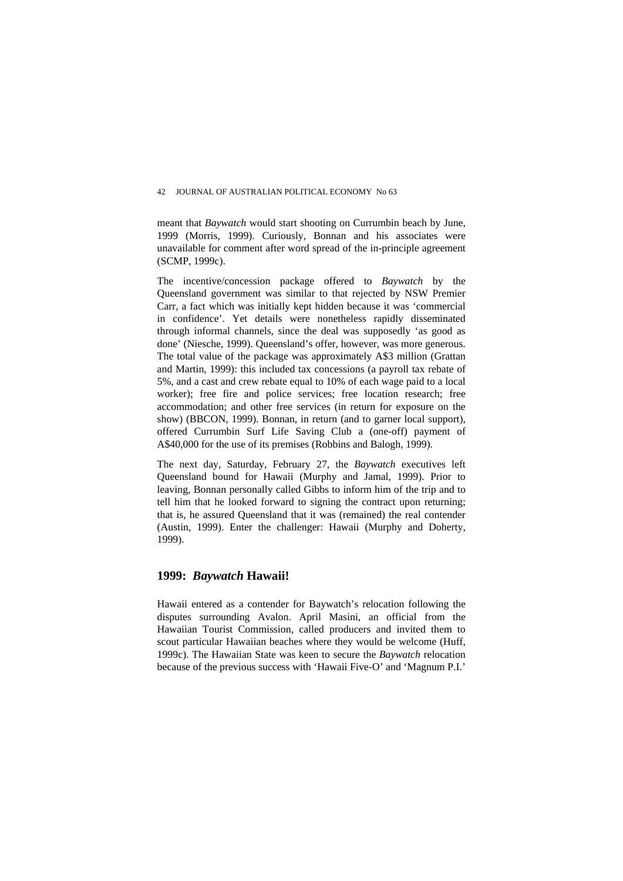meant that *Baywatch* would start shooting on Currumbin beach by June, 1999 (Morris, 1999). Curiously, Bonnan and his associates were unavailable for comment after word spread of the in-principle agreement (SCMP, 1999c).

The incentive/concession package offered to *Baywatch* by the Queensland government was similar to that rejected by NSW Premier Carr, a fact which was initially kept hidden because it was 'commercial in confidence'. Yet details were nonetheless rapidly disseminated through informal channels, since the deal was supposedly 'as good as done' (Niesche, 1999). Queensland's offer, however, was more generous. The total value of the package was approximately A\$3 million (Grattan and Martin, 1999): this included tax concessions (a payroll tax rebate of 5%, and a cast and crew rebate equal to 10% of each wage paid to a local worker); free fire and police services; free location research; free accommodation; and other free services (in return for exposure on the show) (BBCON, 1999). Bonnan, in return (and to garner local support), offered Currumbin Surf Life Saving Club a (one-off) payment of A\$40,000 for the use of its premises (Robbins and Balogh, 1999).

The next day, Saturday, February 27, the *Baywatch* executives left Queensland bound for Hawaii (Murphy and Jamal, 1999). Prior to leaving, Bonnan personally called Gibbs to inform him of the trip and to tell him that he looked forward to signing the contract upon returning; that is, he assured Queensland that it was (remained) the real contender (Austin, 1999). Enter the challenger: Hawaii (Murphy and Doherty, 1999).

## **1999:** *Baywatch* **Hawaii!**

Hawaii entered as a contender for Baywatch's relocation following the disputes surrounding Avalon. April Masini, an official from the Hawaiian Tourist Commission, called producers and invited them to scout particular Hawaiian beaches where they would be welcome (Huff, 1999c). The Hawaiian State was keen to secure the *Baywatch* relocation because of the previous success with 'Hawaii Five-O' and 'Magnum P.I.'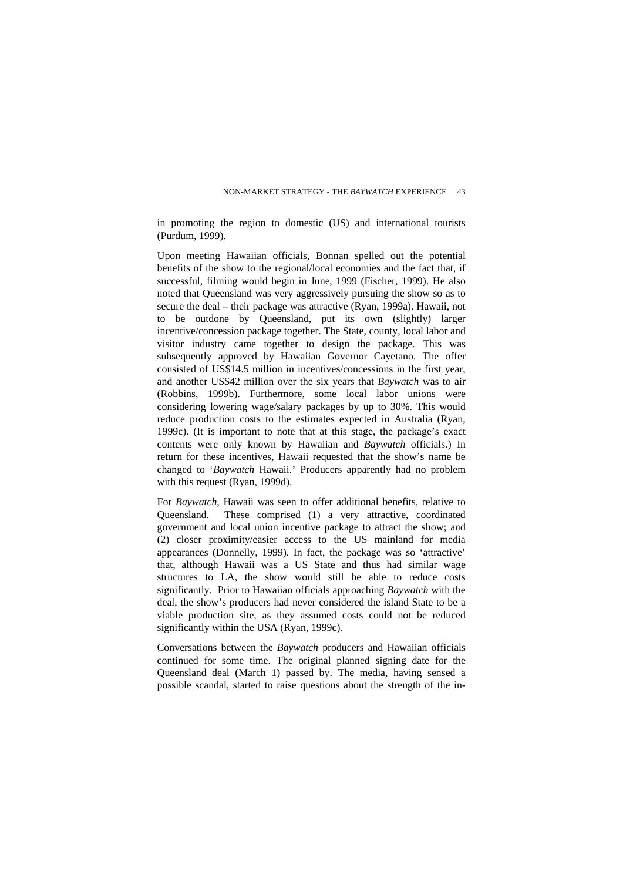in promoting the region to domestic (US) and international tourists (Purdum, 1999).

Upon meeting Hawaiian officials, Bonnan spelled out the potential benefits of the show to the regional/local economies and the fact that, if successful, filming would begin in June, 1999 (Fischer, 1999). He also noted that Queensland was very aggressively pursuing the show so as to secure the deal – their package was attractive (Ryan, 1999a). Hawaii, not to be outdone by Queensland, put its own (slightly) larger incentive/concession package together. The State, county, local labor and visitor industry came together to design the package. This was subsequently approved by Hawaiian Governor Cayetano. The offer consisted of US\$14.5 million in incentives/concessions in the first year, and another US\$42 million over the six years that *Baywatch* was to air (Robbins, 1999b). Furthermore, some local labor unions were considering lowering wage/salary packages by up to 30%. This would reduce production costs to the estimates expected in Australia (Ryan, 1999c). (It is important to note that at this stage, the package's exact contents were only known by Hawaiian and *Baywatch* officials.) In return for these incentives, Hawaii requested that the show's name be changed to '*Baywatch* Hawaii.' Producers apparently had no problem with this request (Ryan, 1999d).

For *Baywatch*, Hawaii was seen to offer additional benefits, relative to Queensland. These comprised (1) a very attractive, coordinated government and local union incentive package to attract the show; and (2) closer proximity/easier access to the US mainland for media appearances (Donnelly, 1999). In fact, the package was so 'attractive' that, although Hawaii was a US State and thus had similar wage structures to LA, the show would still be able to reduce costs significantly. Prior to Hawaiian officials approaching *Baywatch* with the deal, the show's producers had never considered the island State to be a viable production site, as they assumed costs could not be reduced significantly within the USA (Ryan, 1999c).

Conversations between the *Baywatch* producers and Hawaiian officials continued for some time. The original planned signing date for the Queensland deal (March 1) passed by. The media, having sensed a possible scandal, started to raise questions about the strength of the in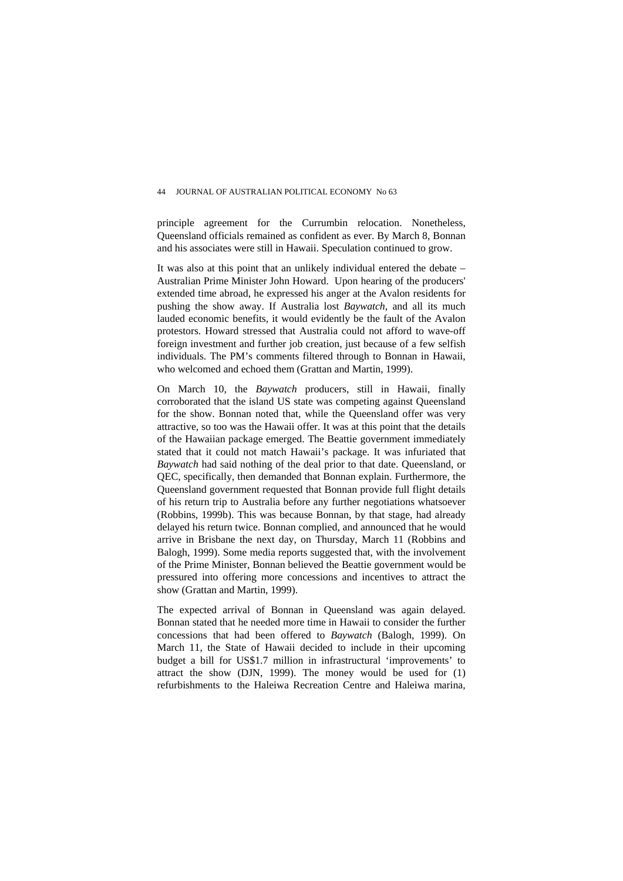principle agreement for the Currumbin relocation. Nonetheless, Queensland officials remained as confident as ever. By March 8, Bonnan and his associates were still in Hawaii. Speculation continued to grow.

It was also at this point that an unlikely individual entered the debate – Australian Prime Minister John Howard. Upon hearing of the producers' extended time abroad, he expressed his anger at the Avalon residents for pushing the show away. If Australia lost *Baywatch*, and all its much lauded economic benefits, it would evidently be the fault of the Avalon protestors. Howard stressed that Australia could not afford to wave-off foreign investment and further job creation, just because of a few selfish individuals. The PM's comments filtered through to Bonnan in Hawaii, who welcomed and echoed them (Grattan and Martin, 1999).

On March 10, the *Baywatch* producers, still in Hawaii, finally corroborated that the island US state was competing against Queensland for the show. Bonnan noted that, while the Queensland offer was very attractive, so too was the Hawaii offer. It was at this point that the details of the Hawaiian package emerged. The Beattie government immediately stated that it could not match Hawaii's package. It was infuriated that *Baywatch* had said nothing of the deal prior to that date. Queensland, or QEC, specifically, then demanded that Bonnan explain. Furthermore, the Queensland government requested that Bonnan provide full flight details of his return trip to Australia before any further negotiations whatsoever (Robbins, 1999b). This was because Bonnan, by that stage, had already delayed his return twice. Bonnan complied, and announced that he would arrive in Brisbane the next day, on Thursday, March 11 (Robbins and Balogh, 1999). Some media reports suggested that, with the involvement of the Prime Minister, Bonnan believed the Beattie government would be pressured into offering more concessions and incentives to attract the show (Grattan and Martin, 1999).

The expected arrival of Bonnan in Queensland was again delayed. Bonnan stated that he needed more time in Hawaii to consider the further concessions that had been offered to *Baywatch* (Balogh, 1999). On March 11, the State of Hawaii decided to include in their upcoming budget a bill for US\$1.7 million in infrastructural 'improvements' to attract the show (DJN, 1999). The money would be used for (1) refurbishments to the Haleiwa Recreation Centre and Haleiwa marina,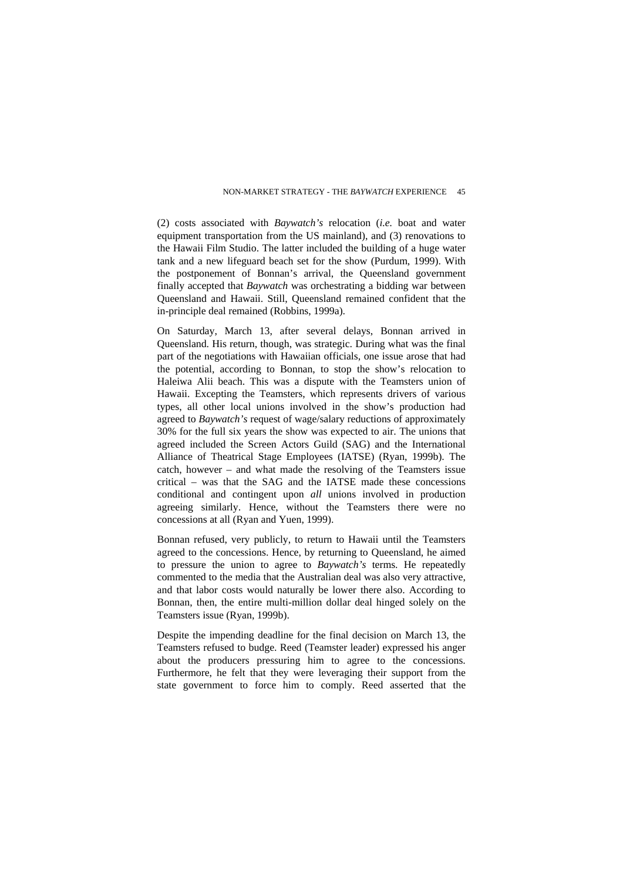(2) costs associated with *Baywatch's* relocation (*i.e.* boat and water equipment transportation from the US mainland), and (3) renovations to the Hawaii Film Studio. The latter included the building of a huge water tank and a new lifeguard beach set for the show (Purdum, 1999). With the postponement of Bonnan's arrival, the Queensland government finally accepted that *Baywatch* was orchestrating a bidding war between Queensland and Hawaii. Still, Queensland remained confident that the in-principle deal remained (Robbins, 1999a).

On Saturday, March 13, after several delays, Bonnan arrived in Queensland. His return, though, was strategic. During what was the final part of the negotiations with Hawaiian officials, one issue arose that had the potential, according to Bonnan, to stop the show's relocation to Haleiwa Alii beach. This was a dispute with the Teamsters union of Hawaii. Excepting the Teamsters, which represents drivers of various types, all other local unions involved in the show's production had agreed to *Baywatch's* request of wage/salary reductions of approximately 30% for the full six years the show was expected to air. The unions that agreed included the Screen Actors Guild (SAG) and the International Alliance of Theatrical Stage Employees (IATSE) (Ryan, 1999b). The catch, however – and what made the resolving of the Teamsters issue critical – was that the SAG and the IATSE made these concessions conditional and contingent upon *all* unions involved in production agreeing similarly. Hence, without the Teamsters there were no concessions at all (Ryan and Yuen, 1999).

Bonnan refused, very publicly, to return to Hawaii until the Teamsters agreed to the concessions. Hence, by returning to Queensland, he aimed to pressure the union to agree to *Baywatch's* terms. He repeatedly commented to the media that the Australian deal was also very attractive, and that labor costs would naturally be lower there also. According to Bonnan, then, the entire multi-million dollar deal hinged solely on the Teamsters issue (Ryan, 1999b).

Despite the impending deadline for the final decision on March 13, the Teamsters refused to budge. Reed (Teamster leader) expressed his anger about the producers pressuring him to agree to the concessions. Furthermore, he felt that they were leveraging their support from the state government to force him to comply. Reed asserted that the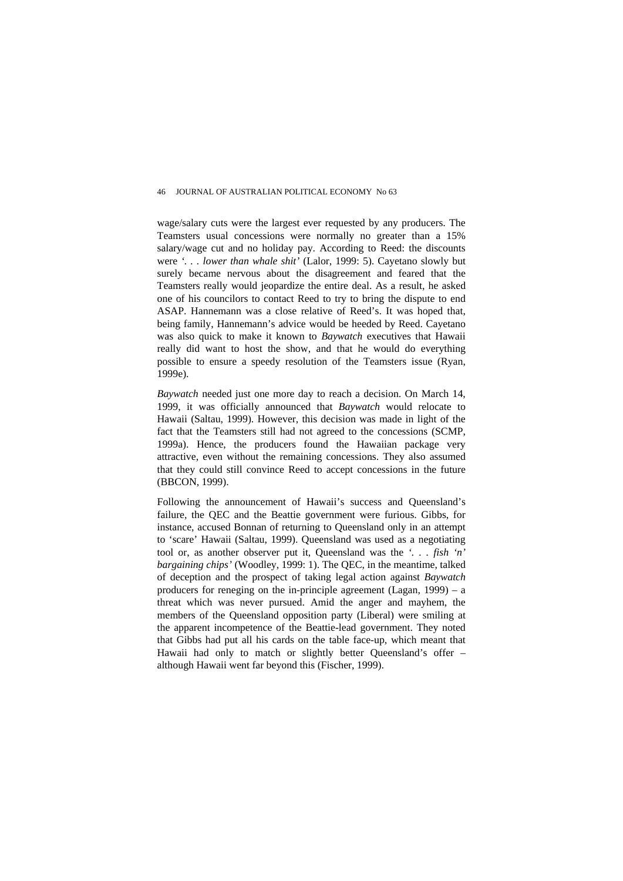wage/salary cuts were the largest ever requested by any producers. The Teamsters usual concessions were normally no greater than a 15% salary/wage cut and no holiday pay. According to Reed: the discounts were *'. . . lower than whale shit'* (Lalor, 1999: 5). Cayetano slowly but surely became nervous about the disagreement and feared that the Teamsters really would jeopardize the entire deal. As a result, he asked one of his councilors to contact Reed to try to bring the dispute to end ASAP. Hannemann was a close relative of Reed's. It was hoped that, being family, Hannemann's advice would be heeded by Reed. Cayetano was also quick to make it known to *Baywatch* executives that Hawaii really did want to host the show, and that he would do everything possible to ensure a speedy resolution of the Teamsters issue (Ryan, 1999e).

*Baywatch* needed just one more day to reach a decision. On March 14, 1999, it was officially announced that *Baywatch* would relocate to Hawaii (Saltau, 1999). However, this decision was made in light of the fact that the Teamsters still had not agreed to the concessions (SCMP, 1999a). Hence, the producers found the Hawaiian package very attractive, even without the remaining concessions. They also assumed that they could still convince Reed to accept concessions in the future (BBCON, 1999).

Following the announcement of Hawaii's success and Queensland's failure, the QEC and the Beattie government were furious. Gibbs, for instance, accused Bonnan of returning to Queensland only in an attempt to 'scare' Hawaii (Saltau, 1999). Queensland was used as a negotiating tool or, as another observer put it, Queensland was the *'. . . fish 'n' bargaining chips'* (Woodley, 1999: 1). The QEC, in the meantime, talked of deception and the prospect of taking legal action against *Baywatch* producers for reneging on the in-principle agreement (Lagan, 1999) – a threat which was never pursued. Amid the anger and mayhem, the members of the Queensland opposition party (Liberal) were smiling at the apparent incompetence of the Beattie-lead government. They noted that Gibbs had put all his cards on the table face-up, which meant that Hawaii had only to match or slightly better Queensland's offer – although Hawaii went far beyond this (Fischer, 1999).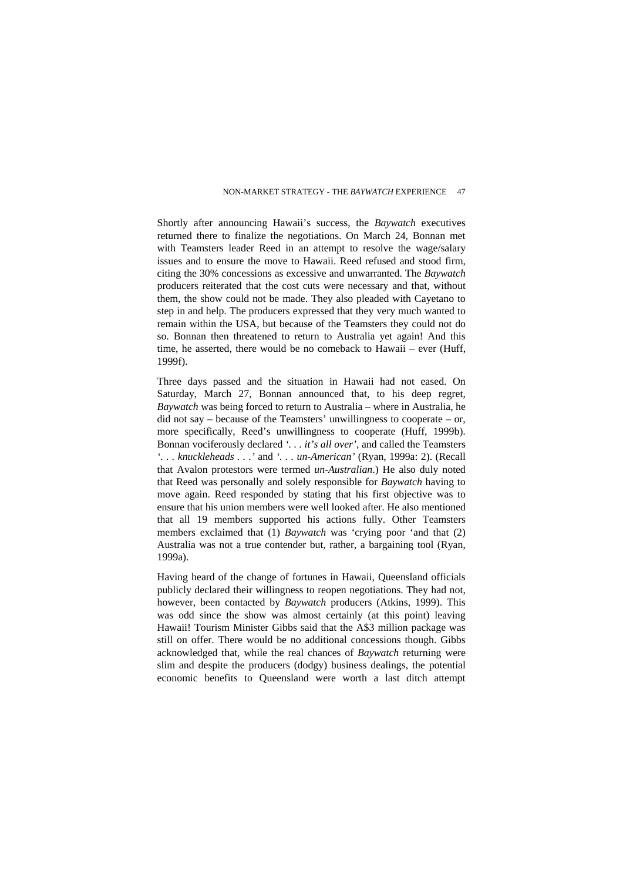Shortly after announcing Hawaii's success, the *Baywatch* executives returned there to finalize the negotiations. On March 24, Bonnan met with Teamsters leader Reed in an attempt to resolve the wage/salary issues and to ensure the move to Hawaii. Reed refused and stood firm, citing the 30% concessions as excessive and unwarranted. The *Baywatch* producers reiterated that the cost cuts were necessary and that, without them, the show could not be made. They also pleaded with Cayetano to step in and help. The producers expressed that they very much wanted to remain within the USA, but because of the Teamsters they could not do so. Bonnan then threatened to return to Australia yet again! And this time, he asserted, there would be no comeback to Hawaii – ever (Huff, 1999f).

Three days passed and the situation in Hawaii had not eased. On Saturday, March 27, Bonnan announced that, to his deep regret, *Baywatch* was being forced to return to Australia – where in Australia, he  $\chi$  did not say – because of the Teamsters' unwillingness to cooperate – or, more specifically, Reed's unwillingness to cooperate (Huff, 1999b). Bonnan vociferously declared *'. . . it's all over'*, and called the Teamsters *'. . . knuckleheads . . .'* and *'. . . un-American'* (Ryan, 1999a: 2). (Recall that Avalon protestors were termed *un-Australian*.) He also duly noted that Reed was personally and solely responsible for *Baywatch* having to move again. Reed responded by stating that his first objective was to ensure that his union members were well looked after. He also mentioned that all 19 members supported his actions fully. Other Teamsters members exclaimed that (1) *Baywatch* was 'crying poor 'and that (2) Australia was not a true contender but, rather, a bargaining tool (Ryan, 1999a).

Having heard of the change of fortunes in Hawaii, Queensland officials publicly declared their willingness to reopen negotiations. They had not, however, been contacted by *Baywatch* producers (Atkins, 1999). This was odd since the show was almost certainly (at this point) leaving Hawaii! Tourism Minister Gibbs said that the A\$3 million package was still on offer. There would be no additional concessions though. Gibbs acknowledged that, while the real chances of *Baywatch* returning were slim and despite the producers (dodgy) business dealings, the potential economic benefits to Queensland were worth a last ditch attempt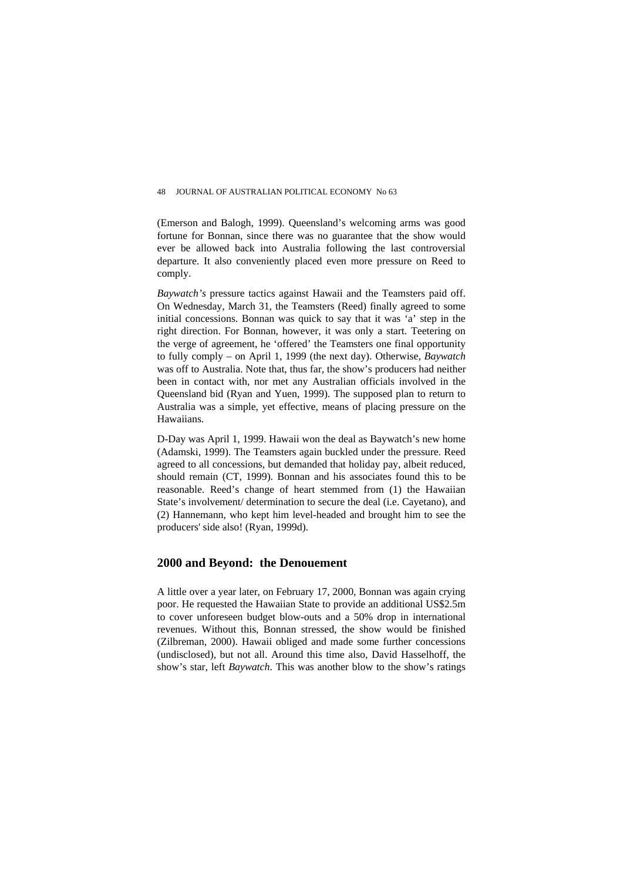(Emerson and Balogh, 1999). Queensland's welcoming arms was good fortune for Bonnan, since there was no guarantee that the show would ever be allowed back into Australia following the last controversial departure. It also conveniently placed even more pressure on Reed to comply.

*Baywatch's* pressure tactics against Hawaii and the Teamsters paid off. On Wednesday, March 31, the Teamsters (Reed) finally agreed to some initial concessions. Bonnan was quick to say that it was 'a' step in the right direction. For Bonnan, however, it was only a start. Teetering on the verge of agreement, he 'offered' the Teamsters one final opportunity to fully comply – on April 1, 1999 (the next day). Otherwise, *Baywatch* was off to Australia. Note that, thus far, the show's producers had neither been in contact with, nor met any Australian officials involved in the Queensland bid (Ryan and Yuen, 1999). The supposed plan to return to Australia was a simple, yet effective, means of placing pressure on the Hawaiians.

D-Day was April 1, 1999. Hawaii won the deal as Baywatch's new home (Adamski, 1999). The Teamsters again buckled under the pressure. Reed agreed to all concessions, but demanded that holiday pay, albeit reduced, should remain (CT, 1999). Bonnan and his associates found this to be reasonable. Reed's change of heart stemmed from (1) the Hawaiian State's involvement/ determination to secure the deal (i.e. Cayetano), and (2) Hannemann, who kept him level-headed and brought him to see the producers' side also! (Ryan, 1999d).

## **2000 and Beyond: the Denouement**

A little over a year later, on February 17, 2000, Bonnan was again crying poor. He requested the Hawaiian State to provide an additional US\$2.5m to cover unforeseen budget blow-outs and a 50% drop in international revenues. Without this, Bonnan stressed, the show would be finished (Zilbreman, 2000). Hawaii obliged and made some further concessions (undisclosed), but not all. Around this time also, David Hasselhoff, the show's star, left *Baywatch*. This was another blow to the show's ratings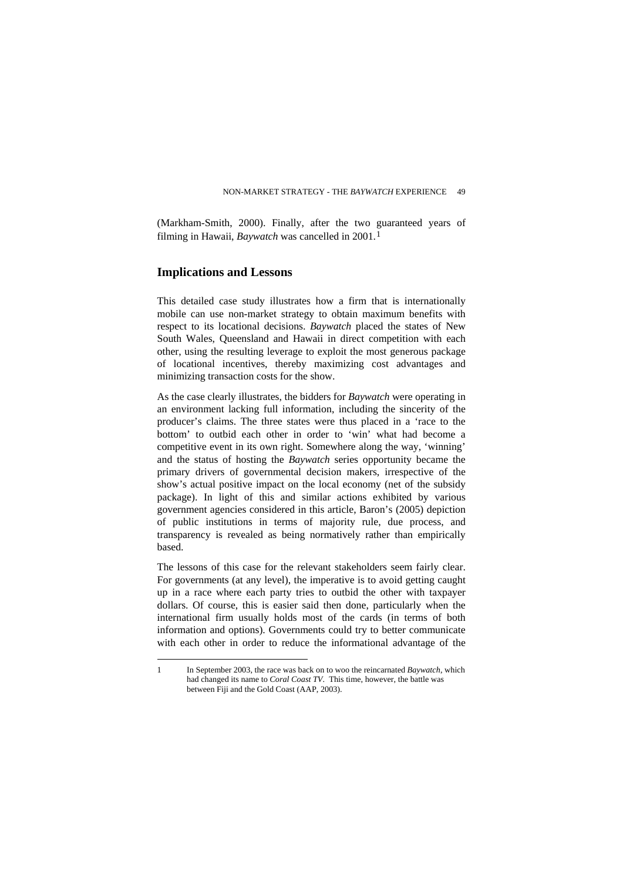(Markham-Smith, 2000). Finally, after the two guaranteed years of filming in Hawaii, *Baywatch* was cancelled in 200[1](#page-17-0).<sup>1</sup>

# **Implications and Lessons**

This detailed case study illustrates how a firm that is internationally mobile can use non-market strategy to obtain maximum benefits with respect to its locational decisions. *Baywatch* placed the states of New South Wales, Queensland and Hawaii in direct competition with each other, using the resulting leverage to exploit the most generous package of locational incentives, thereby maximizing cost advantages and minimizing transaction costs for the show.

As the case clearly illustrates, the bidders for *Baywatch* were operating in an environment lacking full information, including the sincerity of the producer's claims. The three states were thus placed in a 'race to the bottom' to outbid each other in order to 'win' what had become a competitive event in its own right. Somewhere along the way, 'winning' and the status of hosting the *Baywatch* series opportunity became the primary drivers of governmental decision makers, irrespective of the show's actual positive impact on the local economy (net of the subsidy package). In light of this and similar actions exhibited by various government agencies considered in this article, Baron's (2005) depiction of public institutions in terms of majority rule, due process, and transparency is revealed as being normatively rather than empirically based.

The lessons of this case for the relevant stakeholders seem fairly clear. For governments (at any level), the imperative is to avoid getting caught up in a race where each party tries to outbid the other with taxpayer dollars. Of course, this is easier said then done, particularly when the international firm usually holds most of the cards (in terms of both information and options). Governments could try to better communicate with each other in order to reduce the informational advantage of the

<span id="page-17-0"></span> $\overline{a}$ 1 In September 2003, the race was back on to woo the reincarnated *Baywatch*, which had changed its name to *Coral Coast TV*. This time, however, the battle was between Fiji and the Gold Coast (AAP, 2003).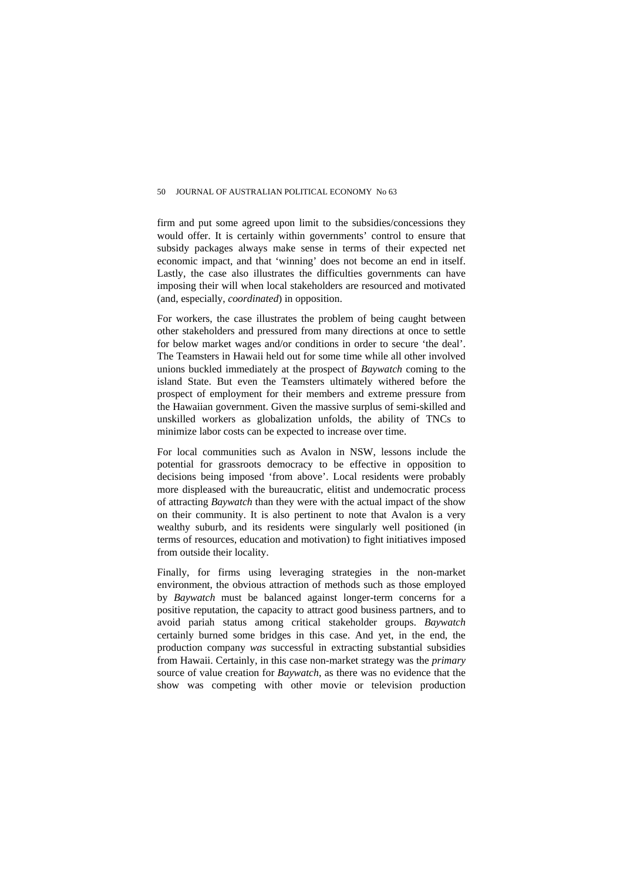firm and put some agreed upon limit to the subsidies/concessions they would offer. It is certainly within governments' control to ensure that subsidy packages always make sense in terms of their expected net economic impact, and that 'winning' does not become an end in itself. Lastly, the case also illustrates the difficulties governments can have imposing their will when local stakeholders are resourced and motivated (and, especially, *coordinated*) in opposition.

For workers, the case illustrates the problem of being caught between other stakeholders and pressured from many directions at once to settle for below market wages and/or conditions in order to secure 'the deal'. The Teamsters in Hawaii held out for some time while all other involved unions buckled immediately at the prospect of *Baywatch* coming to the island State. But even the Teamsters ultimately withered before the prospect of employment for their members and extreme pressure from the Hawaiian government. Given the massive surplus of semi-skilled and unskilled workers as globalization unfolds, the ability of TNCs to minimize labor costs can be expected to increase over time.

For local communities such as Avalon in NSW, lessons include the potential for grassroots democracy to be effective in opposition to decisions being imposed 'from above'. Local residents were probably more displeased with the bureaucratic, elitist and undemocratic process of attracting *Baywatch* than they were with the actual impact of the show on their community. It is also pertinent to note that Avalon is a very wealthy suburb, and its residents were singularly well positioned (in terms of resources, education and motivation) to fight initiatives imposed from outside their locality.

Finally, for firms using leveraging strategies in the non-market environment, the obvious attraction of methods such as those employed by *Baywatch* must be balanced against longer-term concerns for a positive reputation, the capacity to attract good business partners, and to avoid pariah status among critical stakeholder groups. *Baywatch* certainly burned some bridges in this case. And yet, in the end, the production company *was* successful in extracting substantial subsidies from Hawaii. Certainly, in this case non-market strategy was the *primary* source of value creation for *Baywatch*, as there was no evidence that the show was competing with other movie or television production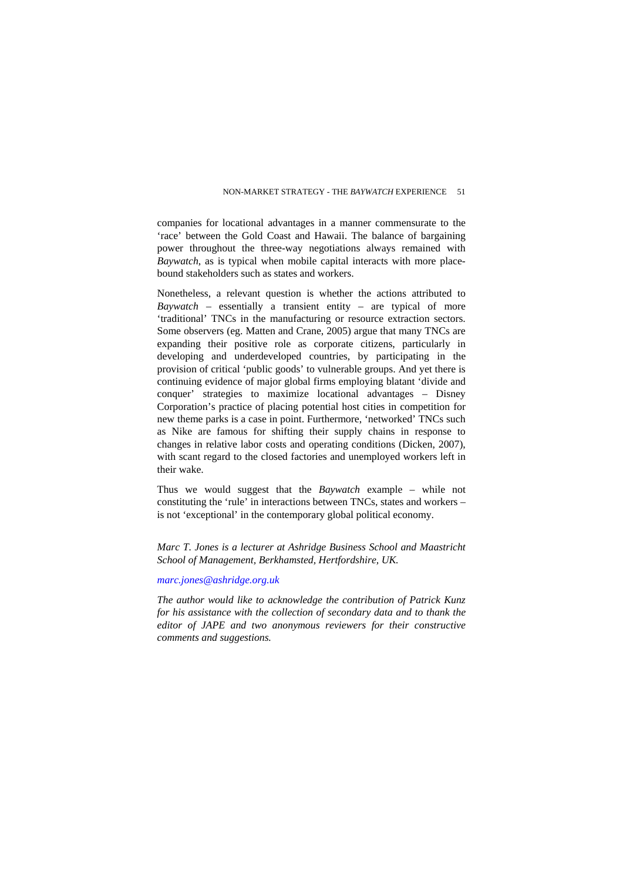companies for locational advantages in a manner commensurate to the 'race' between the Gold Coast and Hawaii. The balance of bargaining power throughout the three-way negotiations always remained with *Baywatch*, as is typical when mobile capital interacts with more placebound stakeholders such as states and workers.

Nonetheless, a relevant question is whether the actions attributed to *Baywatch* – essentially a transient entity – are typical of more 'traditional' TNCs in the manufacturing or resource extraction sectors. Some observers (eg. Matten and Crane, 2005) argue that many TNCs are expanding their positive role as corporate citizens, particularly in developing and underdeveloped countries, by participating in the provision of critical 'public goods' to vulnerable groups. And yet there is continuing evidence of major global firms employing blatant 'divide and conquer' strategies to maximize locational advantages – Disney Corporation's practice of placing potential host cities in competition for new theme parks is a case in point. Furthermore, 'networked' TNCs such as Nike are famous for shifting their supply chains in response to changes in relative labor costs and operating conditions (Dicken, 2007), with scant regard to the closed factories and unemployed workers left in their wake.

Thus we would suggest that the *Baywatch* example – while not constituting the 'rule' in interactions between TNCs, states and workers – is not 'exceptional' in the contemporary global political economy.

*Marc T. Jones is a lecturer at Ashridge Business School and Maastricht School of Management, Berkhamsted, Hertfordshire, UK.* 

#### *[marc.jones@ashridge.org.uk](mailto:marc.jones@ashridge.org.uk)*

*The author would like to acknowledge the contribution of Patrick Kunz for his assistance with the collection of secondary data and to thank the editor of JAPE and two anonymous reviewers for their constructive comments and suggestions.*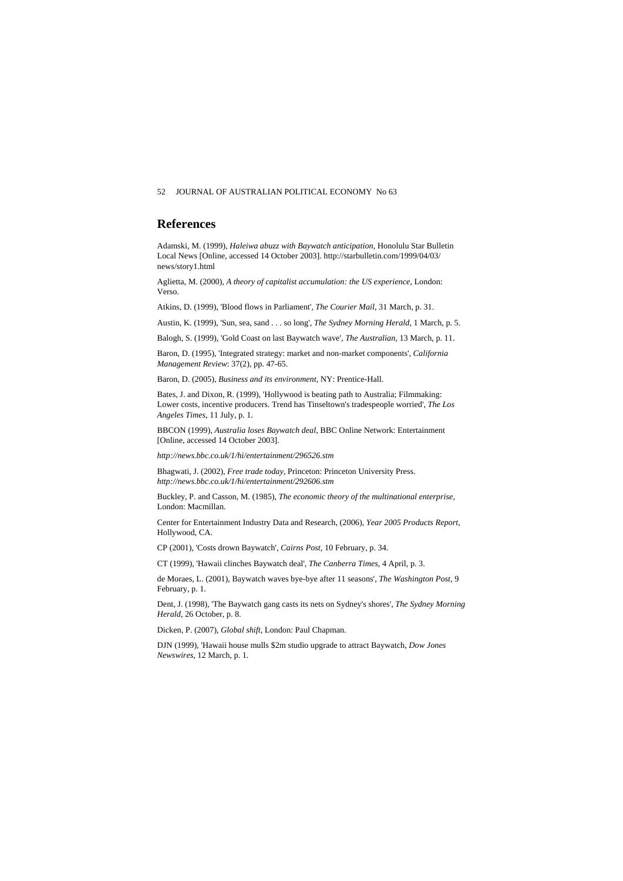#### **References**

Adamski, M. (1999), *Haleiwa abuzz with Baywatch anticipation*, Honolulu Star Bulletin Local News [Online, accessed 14 October 2003]. http://starbulletin.com/1999/04/03/ news/story1.html

Aglietta, M. (2000), *A theory of capitalist accumulation: the US experience*, London: Verso.

Atkins, D. (1999), 'Blood flows in Parliament', *The Courier Mail*, 31 March, p. 31.

Austin, K. (1999), 'Sun, sea, sand . . . so long', *The Sydney Morning Herald*, 1 March, p. 5.

Balogh, S. (1999), 'Gold Coast on last Baywatch wave', *The Australian*, 13 March, p. 11.

Baron, D. (1995), 'Integrated strategy: market and non-market components', *California Management Review*: 37(2), pp. 47-65.

Baron, D. (2005), *Business and its environment*, NY: Prentice-Hall.

Bates, J. and Dixon, R. (1999), 'Hollywood is beating path to Australia; Filmmaking: Lower costs, incentive producers. Trend has Tinseltown's tradespeople worried', *The Los Angeles Times*, 11 July, p. 1.

BBCON (1999), *Australia loses Baywatch deal*, BBC Online Network: Entertainment [Online, accessed 14 October 2003].

*http://news.bbc.co.uk/1/hi/entertainment/296526.stm* 

Bhagwati, J. (2002), *Free trade today*, Princeton: Princeton University Press. *http://news.bbc.co.uk/1/hi/entertainment/292606.stm* 

Buckley, P. and Casson, M. (1985), *The economic theory of the multinational enterprise*, London: Macmillan.

Center for Entertainment Industry Data and Research, (2006), *Year 2005 Products Report*, Hollywood, CA.

CP (2001), 'Costs drown Baywatch', *Cairns Post*, 10 February, p. 34.

CT (1999), 'Hawaii clinches Baywatch deal', *The Canberra Times*, 4 April, p. 3.

de Moraes, L. (2001), Baywatch waves bye-bye after 11 seasons', *The Washington Post*, 9 February, p. 1.

Dent, J. (1998), 'The Baywatch gang casts its nets on Sydney's shores', *The Sydney Morning Herald*, 26 October, p. 8.

Dicken, P. (2007), *Global shift*, London: Paul Chapman.

DJN (1999), 'Hawaii house mulls \$2m studio upgrade to attract Baywatch, *Dow Jones Newswires*, 12 March, p. 1.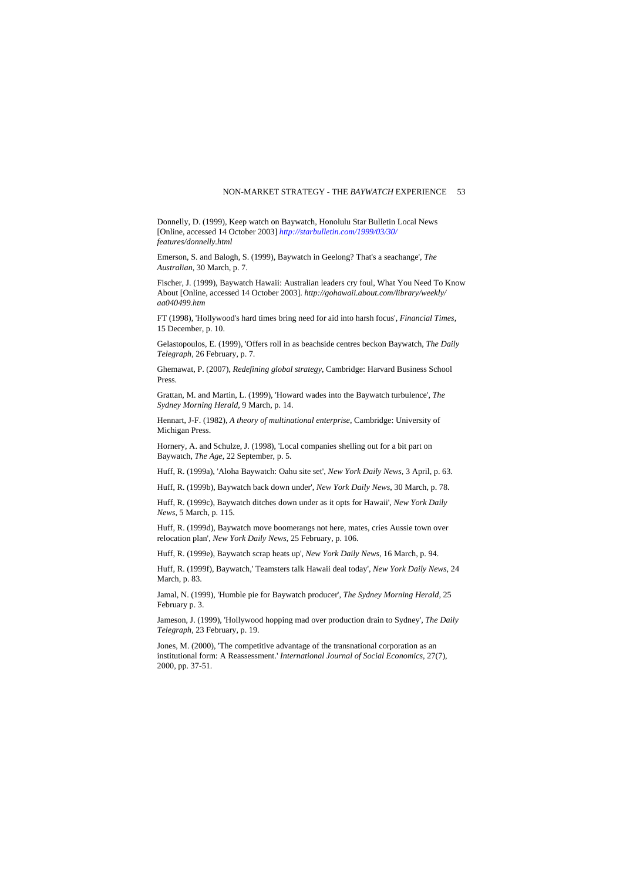Donnelly, D. (1999), Keep watch on Baywatch, Honolulu Star Bulletin Local News [Online, accessed 14 October 2003] *<http://starbulletin.com/1999/03/30/> features/donnelly.html*

Emerson, S. and Balogh, S. (1999), Baywatch in Geelong? That's a seachange', *The Australian*, 30 March, p. 7.

Fischer, J. (1999), Baywatch Hawaii: Australian leaders cry foul, What You Need To Know About [Online, accessed 14 October 2003]. *http://gohawaii.about.com/library/weekly/ aa040499.htm*

FT (1998), 'Hollywood's hard times bring need for aid into harsh focus', *Financial Times*, 15 December, p. 10.

Gelastopoulos, E. (1999), 'Offers roll in as beachside centres beckon Baywatch, *The Daily Telegraph*, 26 February, p. 7.

Ghemawat, P. (2007), *Redefining global strategy*, Cambridge: Harvard Business School Press.

Grattan, M. and Martin, L. (1999), 'Howard wades into the Baywatch turbulence', *The Sydney Morning Herald*, 9 March, p. 14.

Hennart, J-F. (1982), *A theory of multinational enterprise*, Cambridge: University of Michigan Press.

Hornery, A. and Schulze, J. (1998), 'Local companies shelling out for a bit part on Baywatch, *The Age*, 22 September, p. 5.

Huff, R. (1999a), 'Aloha Baywatch: Oahu site set', *New York Daily News*, 3 April, p. 63.

Huff, R. (1999b), Baywatch back down under', *New York Daily News*, 30 March, p. 78.

Huff, R. (1999c), Baywatch ditches down under as it opts for Hawaii', *New York Daily News*, 5 March, p. 115.

Huff, R. (1999d), Baywatch move boomerangs not here, mates, cries Aussie town over relocation plan', *New York Daily News*, 25 February, p. 106.

Huff, R. (1999e), Baywatch scrap heats up', *New York Daily News*, 16 March, p. 94.

Huff, R. (1999f), Baywatch,' Teamsters talk Hawaii deal today', *New York Daily News*, 24 March, p. 83.

Jamal, N. (1999), 'Humble pie for Baywatch producer', *The Sydney Morning Herald*, 25 February p. 3.

Jameson, J. (1999), 'Hollywood hopping mad over production drain to Sydney', *The Daily Telegraph*, 23 February, p. 19.

Jones, M. (2000), 'The competitive advantage of the transnational corporation as an institutional form: A Reassessment.' *International Journal of Social Economics,* 27(7), 2000, pp. 37-51.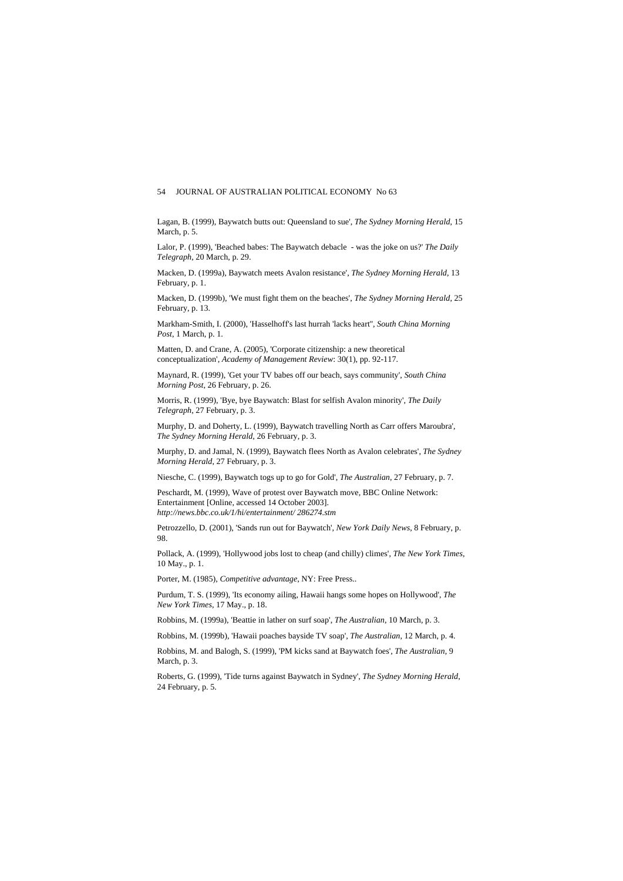Lagan, B. (1999), Baywatch butts out: Queensland to sue', *The Sydney Morning Herald*, 15 March, p. 5.

Lalor, P. (1999), 'Beached babes: The Baywatch debacle - was the joke on us?' *The Daily Telegraph*, 20 March, p. 29.

Macken, D. (1999a), Baywatch meets Avalon resistance', *The Sydney Morning Herald*, 13 February, p. 1.

Macken, D. (1999b), 'We must fight them on the beaches', *The Sydney Morning Herald*, 25 February, p. 13.

Markham-Smith, I. (2000), 'Hasselhoff's last hurrah 'lacks heart'', *South China Morning Post*, 1 March, p. 1.

Matten, D. and Crane, A. (2005), 'Corporate citizenship: a new theoretical conceptualization', *Academy of Management Review*: 30(1), pp. 92-117.

Maynard, R. (1999), 'Get your TV babes off our beach, says community', *South China Morning Post*, 26 February, p. 26.

Morris, R. (1999), 'Bye, bye Baywatch: Blast for selfish Avalon minority', *The Daily Telegraph*, 27 February, p. 3.

Murphy, D. and Doherty, L. (1999), Baywatch travelling North as Carr offers Maroubra', *The Sydney Morning Herald*, 26 February, p. 3.

Murphy, D. and Jamal, N. (1999), Baywatch flees North as Avalon celebrates', *The Sydney Morning Herald*, 27 February, p. 3.

Niesche, C. (1999), Baywatch togs up to go for Gold', *The Australian*, 27 February, p. 7.

Peschardt, M. (1999), Wave of protest over Baywatch move, BBC Online Network: Entertainment [Online, accessed 14 October 2003]. *http://news.bbc.co.uk/1/hi/entertainment/ 286274.stm*

Petrozzello, D. (2001), 'Sands run out for Baywatch', *New York Daily News*, 8 February, p. 98.

Pollack, A. (1999), 'Hollywood jobs lost to cheap (and chilly) climes', *The New York Times*, 10 May., p. 1.

Porter, M. (1985), *Competitive advantage*, NY: Free Press..

Purdum, T. S. (1999), 'Its economy ailing, Hawaii hangs some hopes on Hollywood', *The New York Times*, 17 May., p. 18.

Robbins, M. (1999a), 'Beattie in lather on surf soap', *The Australian*, 10 March, p. 3.

Robbins, M. (1999b), 'Hawaii poaches bayside TV soap', *The Australian*, 12 March, p. 4.

Robbins, M. and Balogh, S. (1999), 'PM kicks sand at Baywatch foes', *The Australian*, 9 March, p. 3.

Roberts, G. (1999), 'Tide turns against Baywatch in Sydney', *The Sydney Morning Herald*, 24 February, p. 5.